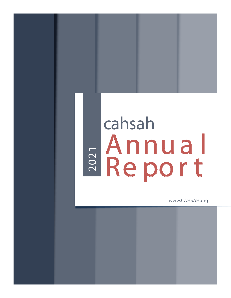# cahsah E Annual<br>Report

www.CAHSAH.org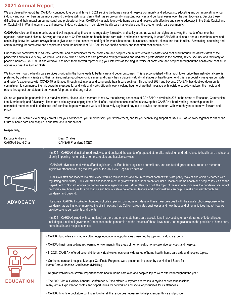# **2021 Annual Report**

We are pleased to report that CAHSAH continued to grow and thrive in 2021 serving the home care and hospice community and advocating, educating and communicating for our<br>industry and support has a support the support the d difficulties and their impact on our personal and professional lives, CAHSAH was able to provide home care and hospice with effective and strong advocacy in the State Capitol and difficulties and their impact on our person on Capitol Hill in Washington and to enhance our industry's standing in our state's health care marketplace and the greater health care community. we were once again able to provide home care and hospice with extensive and hospice and hospice and hospice and this powerful message far and wide and works diligently every waking hour industry and our members as we move beyond the devastating pandemic that has so profoundly impacting our lives and our businesses over the past two-years. Despite these

CASHAH's voice continues to be heard and well-respected by those in the regulatory, legislative and policy arena as we set our sights on serving the needs of our member agencies, patients and clients. Serving as the voice of California's home health, home care aide, and hospice community is what CAHSAH is all about and our members, new and continuing, know that we are always there to give voice to their concerns and fight for what's best for our businesses, patients, clients and their families. Advocating, educating and communicating for home care and hospice has been the hallmark of CAHSAH for over half a century and that effort continued in 2021.

Our collective commitment to educate, advocate, and communicate for the home care and hospice community remains steadfast and continued through the darkest days of the pandemic and to this very day. As you all well know, when it comes to care provided by highly trained and dedicated professionals in the comfort, safety, security, and familiarity of people's homes – CAHSAH is and ALWAYS has been there for you representing your interests as the singular voice of home care and hospice throughout the health care continuum across our beautiful Golden State.

We know well how the health care services provided in the home leads to better care and better outcomes. This is accomplished with a much lower price than institutional care, is preferred by patients, clients and their families, makes good economic sense, and clearly has a place in virtually all stages of health care. And this is especially true given our state and nation's experience with COVID-19 as it raced through institutional and congregate health care settings. Throughout 2021 and beyond, CAHSAH has doubled-down on its and half its experience with COVID-19 as it faced through institutional and congregate neath care settings. Throughout 2021 and beyond, CAHSAH has doubled-down on its<br>commitment to communicating this powerful message far a Our collective commitment to educate, advocate, and communicate for the commitment to communicating this powerful message far and wide and works diligently every waking hour to share that message with legislators, policy makers, the media and<br>ethere throughout our atate and aux wanderful, arou others throughout our state and our wonderful, proud and strong nation.

So, as we place the pandemic in our rearview mirror, please take a moment to review the following snapshots of CAHSAH's activities in 2021in the areas of Education, Communication, Membership and Advocacy. These are obviously challenging times for all of us, but please take comfort in knowing that CAHSAH's hard working leadership team, its committed members and its dedicated staff continue to persevere and work collaboratively day-in and day-out to provide our members with what they need to move forward and  $\frac{1}{2}$  safety, and familiarity of people's homes  $\frac{1}{2}$  homes  $\frac{1}{2}$  homes  $\frac{1}{2}$  and  $\frac{1}{2}$  and  $\frac{1}{2}$  and  $\frac{1}{2}$  and  $\frac{1}{2}$  and  $\frac{1}{2}$  and  $\frac{1}{2}$  and  $\frac{1}{2}$  and  $\frac{1}{2}$  and  $\frac{1}{2}$  a thrive.

Your CAHSAH Team is exceedingly grateful for your confidence, your membership, your involvement, and for your continuing support of CAHSAH as we work together to shape the future of home care and hospice in our state and in our nation!

 $\kappa$ espectruity, Respectfully,

Dr. Lucy Andrews **Dean Chalios**<br>CAHSAH Board Chair **DR. CAHSAH Pre**s

 $\mathbf{D}_{\text{c}}$  between  $\mathbf{D}_{\text{c}}$  and  $\mathbf{D}_{\text{c}}$  and  $\mathbf{D}_{\text{c}}$  and  $\mathbf{D}_{\text{c}}$  and  $\mathbf{D}_{\text{c}}$  and  $\mathbf{D}_{\text{c}}$  and  $\mathbf{D}_{\text{c}}$  and  $\mathbf{D}_{\text{c}}$  and  $\mathbf{D}_{\text{c}}$  and  $\mathbf{D}_{\text{c}}$  and  $\mathbf{D}_{\text{c}}$  and  $\sum_{i=1}^{n}$ CAHSAH President & CEO

of proposed state bills, including hundredsrelated to health care and

directly impacting home health, home care aide and hospice services.



**ADVOCACY**

CAHSAH advocates met with sta and legislators,testified before passed through the Legislature and was signed by the Governor. **Legislative committees** including that including the Conduction committees. legislative proposals during the first year of the 2021-2022 legislative session. • CAHSAH advocates met with staff and legislators, testified before legislative committees, and conducted grassroots outreach on numerous  $\mathsf{S}$  soon. The requirements of our industry  $\mathsf{S}$  with  $\mathsf{S}$  with  $\mathsf{S}$  and  $\mathsf{S}$ 

CAHSAH staff and leaders maintain close working relationships and are in constant contact with state policy makers and officials charged with regulating our industry. CAHSAH staff and leaders meet regularly with the Department of Public Health on home health and hospice issues and the Department of Social Services on home care aide agency issues. More often than not, the topic of these interactions was the pandemic, its impact Department of Boolar Bervices of Herns care also agency fiscuse. There ences that here, the to-file is music musician music music particularly hospice is increased in particularly hospic. The impaction of the correct pract issues and Department of Social Services on home care aide services on home care aide aide aide aide aide aide on home care, home health, and hospice and how our state government leaders and policy makers can help us make our way through the<br>nandomie and hovend

In 2021, CAHSAH identified, read, reviewed and analyzed thousands of proposed state bills, including hundreds related to health care and scores

ADVOCACY · Last year, CAHSAH worked on hundreds of bills impacting our industry. Many of these measures dealt with the state's robust response to the pandemic, as well as other more routine bills impacting how California regulates businesses and how those and other initiatives impact how we provide care to our patients and clients.

> • In 2021, CAHSAH joined with our national partners and other state home care associations in advocating on a wide-range of federal issues including our national government's response to the pandemic and the impacts of those laws, rules, and regulations on the provision of home care, home health, and hospice services.

> > The 2019 CAHSAH Annual Conference & Expo oered 3 keynote

endless networking and social opportunities for its over 300

to  $\mathcal{A}_B$  from the  $\mathcal{A}_B$  from the "ABC test" from the "ABC test" from the "ABC test" from the "ABC test" from the "ABC test" from the "ABC test" from the "ABC test" from the "ABC test" from the "ABC test" from the

• CAHSAH provides a myriad of cutting edge educational opportunities presented by top-notch industry experts.

 $\mathcal{L}_\text{c}$  and  $\mathcal{L}_\text{c}$  and  $\mathcal{L}_\text{c}$  and  $\mathcal{L}_\text{c}$  and  $\mathcal{L}_\text{c}$  and  $\mathcal{L}_\text{c}$  and  $\mathcal{L}_\text{c}$ 

- CAHSAH maintains a dynamic learning environment in the areas of home health, home care aide services, and hospice.
- In 2021, CAHSAH offered several different virtual workshops on a wi range of home health, home care aide and hospice topics CAHSAH's online bookstore continues to oer all the resources • In 2021, CAHSAH offered several different virtual workshops on a wide-range of home health, home care aide and hospice topics.<br>
- Our home care and hospice Manager Certificate Programs were presented in person by our National Board for Home Care & Hospice Certification (NBHHC).
- National Board for Home Care & Hospice Certication (NBHHC). Regular webinars on several important home health, home care • Regular webinars on several important home health, home care aide and hospice topics were offered throughout the year.
- The 2021 Virtual CAHSAH Annual Conference & Expo offered 3 keynote addresses, a myriad of breakout sessions, many virtual Expo vendor booths and opportunities for networking and social opportunities for its attendees.
- CAHSAH's online bookstore continues to offer all the resources necessary to help agencies thrive and prosper.

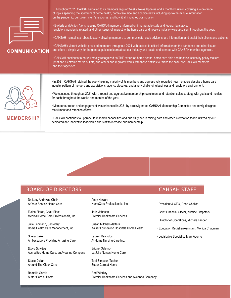

## **COMMUNICATION**

• Throughout 2021, CAHSAH emailed to its members regular Weekly News Updates and a monthly Bulletin covering a wide-range spanning the spectrum of home nealth, nome care are and hospice<br>wide-rais space account to the spectrum of home health consideration on the pandemic, our government's response, and how it all impacted our industry.<br>. of topics spanning the spectrum of home health, home care aide and hospice news including up-to-the-minute information<br>
states the minute of the spectrum of home health, home care aide and hospice news including up-to-the-

• E-Alerts and Action Alerts keeping CAHSAH members informed on innumerable state and federal legislative, regulatory, pandemic related, and other issues of interest to the home care and hospice industry were also sent throughout the year.

• CAHSAH maintains a robust Listserv allowing members to communicate, seek advice, share information, and assist their clients and patients.

• CAHSAH's vibrant website provided members throughout 2021 with access to critical information on the pandemic and other issues and offers a simple way for the general public to learn about our industry and locate and connect with CAHSAH member agencies.

• CAHSAH continues to be universally recognized as THE expert on home health, home care aide and hospice issues by policy makers, print and electronic media outlets, and others and regularly works with these entities to "make the case" for CAHSAH members and their agencies.



### **EMBERSHIP**

In 2021, CAHSAH retained the overwhelming majority of its members and aggressively recruited new members despite a home care industry pattern of mergers and acquisitions, agency closures, and a very challenging business and regulatory environment.

• We continued throughout 2021 with a robust and aggressive membership recruitment and retention sales strategy with goals and metrics for each throughout the weeks and months of the year.

Member outreach and engagement was enhanced in 2021 by a reinvigor recruitment and retention efforts. revamped and reinvigorated CAHSAH Membership Committee • Member outreach and engagement was enhanced in 2021 by a reinvigorated CAHSAH Membership Committee and newly designed

 $2019.00$  was the second vertex of our new and improved membership of our new and improved membership of  $\frac{1}{2}$ CAHSAH CUTTURES to upgrade its research capabilities and que difigence dedicated and innovative leadership and staff to increase our membership. mining data and other information that is utilized by our • CAHSAH continues to upgrade its research capabilities and due diligence in mining data and other information that is utilized by our<br>dedicated and innovative leadership and staff to increase our membership.

### BOARD OF DIRECTORS AND THE RESEARCH CAHSAH STAFF

 $D<sub>1</sub>$ . Lucy Andrews, Onan At Your Service Home Care Dr. Lucy Andrews, Chair

Elaine Flores, Chair-Elect Etaine Hores, Orian Elect<br>Medical Home Care Professionals, Inc.

Julie Lehmann, Secretary Home Health Care Management, Inc.

Sheila Baker Ambassadors Providing Amazing Care

Steve Davidson Accredited Home Care, an Aveanna Company

Jiacle Dulle Around The Clock Care Stacie Dollar

Romelia Garcia Romena Garcia<br>Sutter Care at Home  $\sum_{n=1}^{\infty}$ HomeCare Professionals, Inc. Andy Howard

Sum Jumpur<br>D Premier Healthcare Services Jerin Johnson

Susan Mitchell-Mattera **Casan Michell Mattera**<br>Kaiser Foundation Hospitals Home Health

Lauren Reynolds At Home Nursing Care Inc.  $\mathcal{L}$   $\mathcal{L}$   $\mathcal{L}$   $\mathcal{L}$   $\mathcal{L}$   $\mathcal{L}$   $\mathcal{L}$   $\mathcal{L}$   $\mathcal{L}$   $\mathcal{L}$   $\mathcal{L}$   $\mathcal{L}$   $\mathcal{L}$   $\mathcal{L}$   $\mathcal{L}$   $\mathcal{L}$   $\mathcal{L}$   $\mathcal{L}$   $\mathcal{L}$   $\mathcal{L}$   $\mathcal{L}$   $\mathcal{L}$   $\mathcal{L}$   $\mathcal{L}$   $\mathcal{$ 

Brittnei Salerno La Jolla Nurses Home Care

Terri Simpson-Tucker Sutter Care at Home

Rod Windley Premier Healthcare Services and Aveanna Company

Dean Chalios President& CEO · President & CEO, Dean Chalios

·

Kristine Fitzpatrick  $\cdot$  Chief Financial Officer, Kristine Fitzpatrick

- Michele Lander Director of Operations · Director of Operations, Michele Lander
- · Education Registrar/Assistant, Monica Chapman
- .<br>Monica Chapmann Chapmann (1993) · Legislative Specialist, Mary Adorno